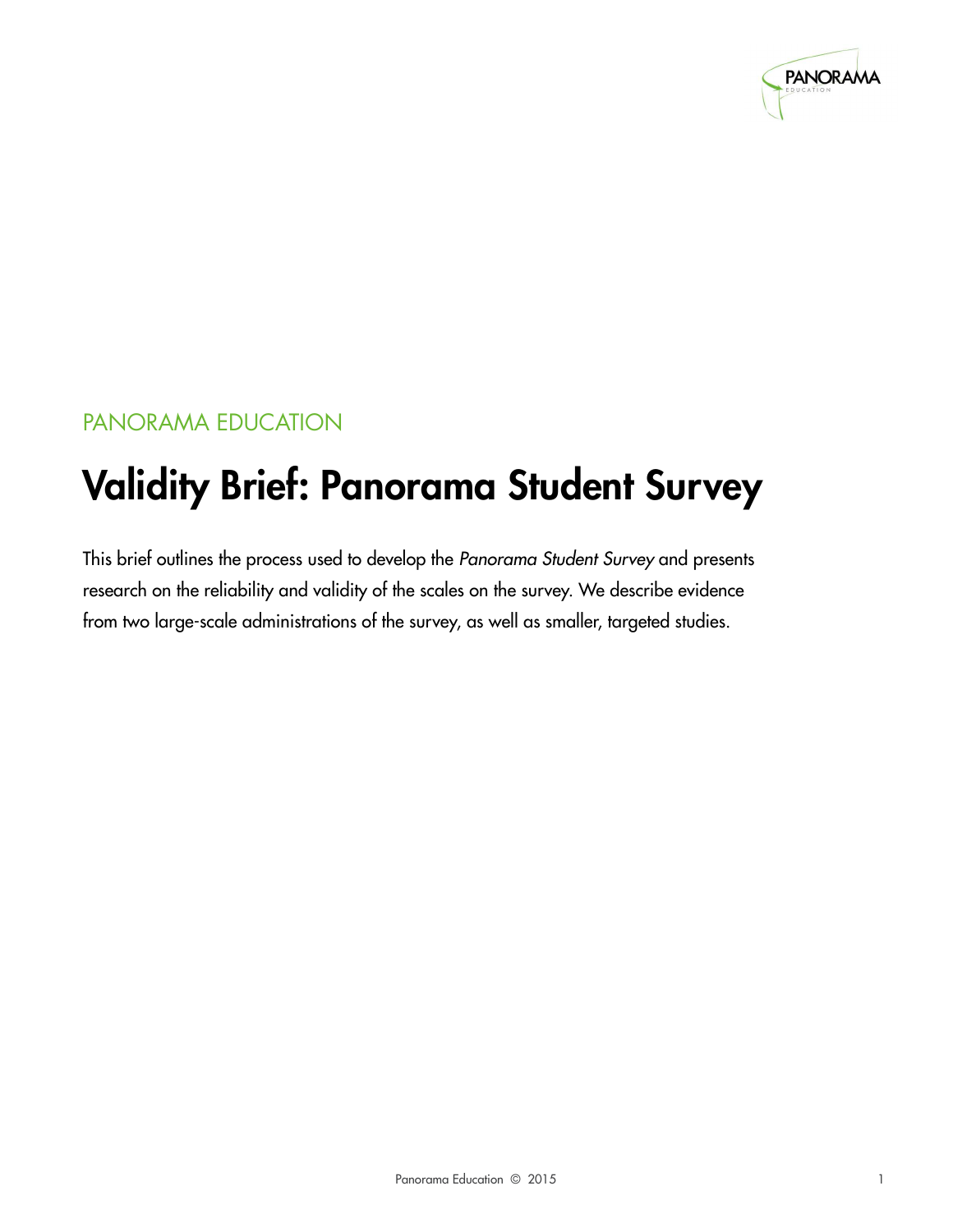

### PANORAMA EDUCATION

## Validity Brief: Panorama Student Survey

This brief outlines the process used to develop the Panorama Student Survey and presents research on the reliability and validity of the scales on the survey. We describe evidence from two large-scale administrations of the survey, as well as smaller, targeted studies.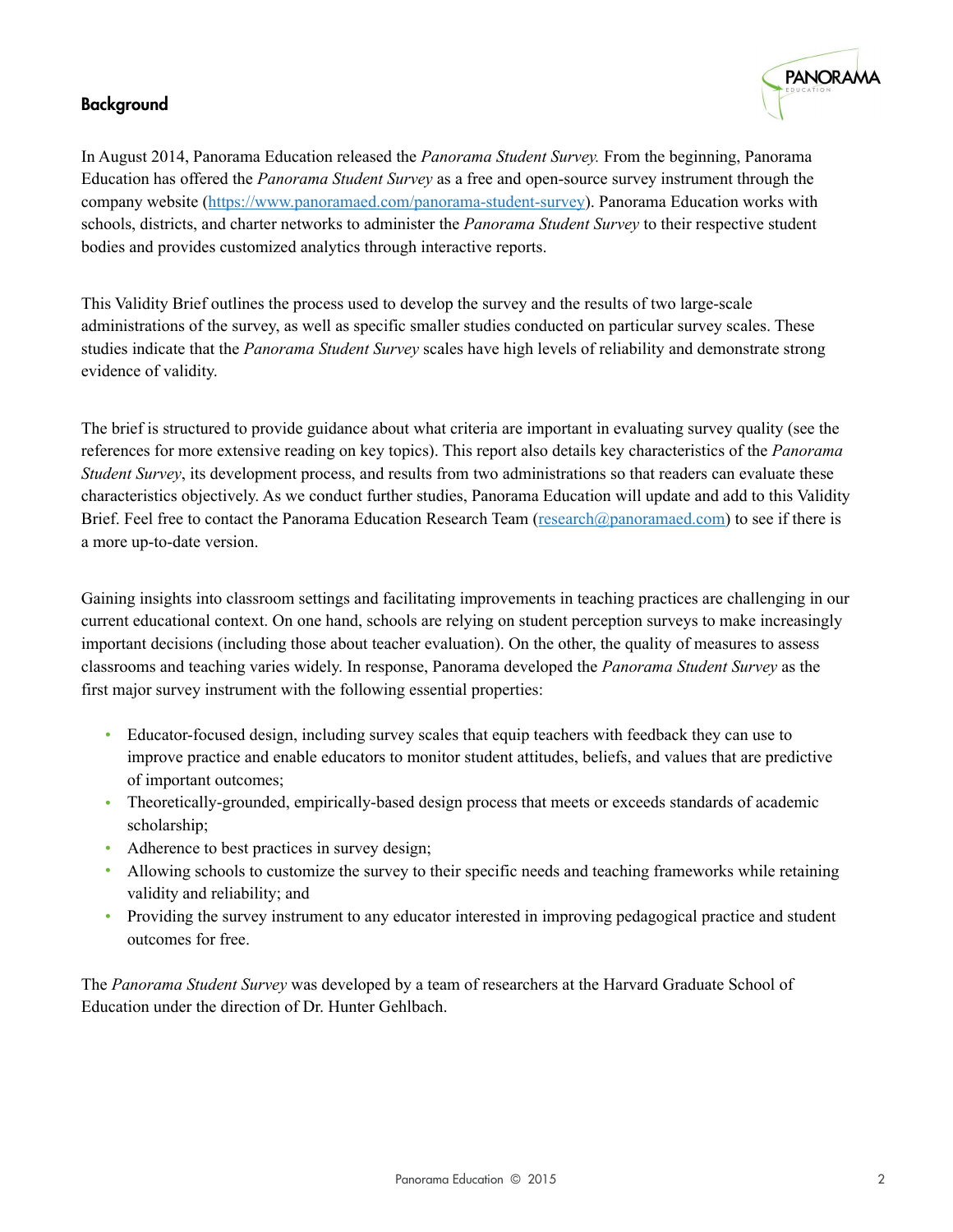#### Background



In August 2014, Panorama Education released the *Panorama Student Survey.* From the beginning, Panorama Education has offered the *Panorama Student Survey* as a free and open-source survey instrument through the company website (<https://www.panoramaed.com/panorama-student-survey>). Panorama Education works with schools, districts, and charter networks to administer the *Panorama Student Survey* to their respective student bodies and provides customized analytics through interactive reports.

This Validity Brief outlines the process used to develop the survey and the results of two large-scale administrations of the survey, as well as specific smaller studies conducted on particular survey scales. These studies indicate that the *Panorama Student Survey* scales have high levels of reliability and demonstrate strong evidence of validity.

The brief is structured to provide guidance about what criteria are important in evaluating survey quality (see the references for more extensive reading on key topics). This report also details key characteristics of the *Panorama Student Survey*, its development process, and results from two administrations so that readers can evaluate these characteristics objectively. As we conduct further studies, Panorama Education will update and add to this Validity Brief. Feel free to contact the Panorama Education Research Team [\(research@panoramaed.com](mailto:research@panoramaed.com)) to see if there is a more up-to-date version.

Gaining insights into classroom settings and facilitating improvements in teaching practices are challenging in our current educational context. On one hand, schools are relying on student perception surveys to make increasingly important decisions (including those about teacher evaluation). On the other, the quality of measures to assess classrooms and teaching varies widely. In response, Panorama developed the *Panorama Student Survey* as the first major survey instrument with the following essential properties:

- Educator-focused design, including survey scales that equip teachers with feedback they can use to improve practice and enable educators to monitor student attitudes, beliefs, and values that are predictive of important outcomes;
- Theoretically-grounded, empirically-based design process that meets or exceeds standards of academic scholarship;
- Adherence to best practices in survey design;
- Allowing schools to customize the survey to their specific needs and teaching frameworks while retaining validity and reliability; and
- Providing the survey instrument to any educator interested in improving pedagogical practice and student outcomes for free.

The *Panorama Student Survey* was developed by a team of researchers at the Harvard Graduate School of Education under the direction of Dr. Hunter Gehlbach.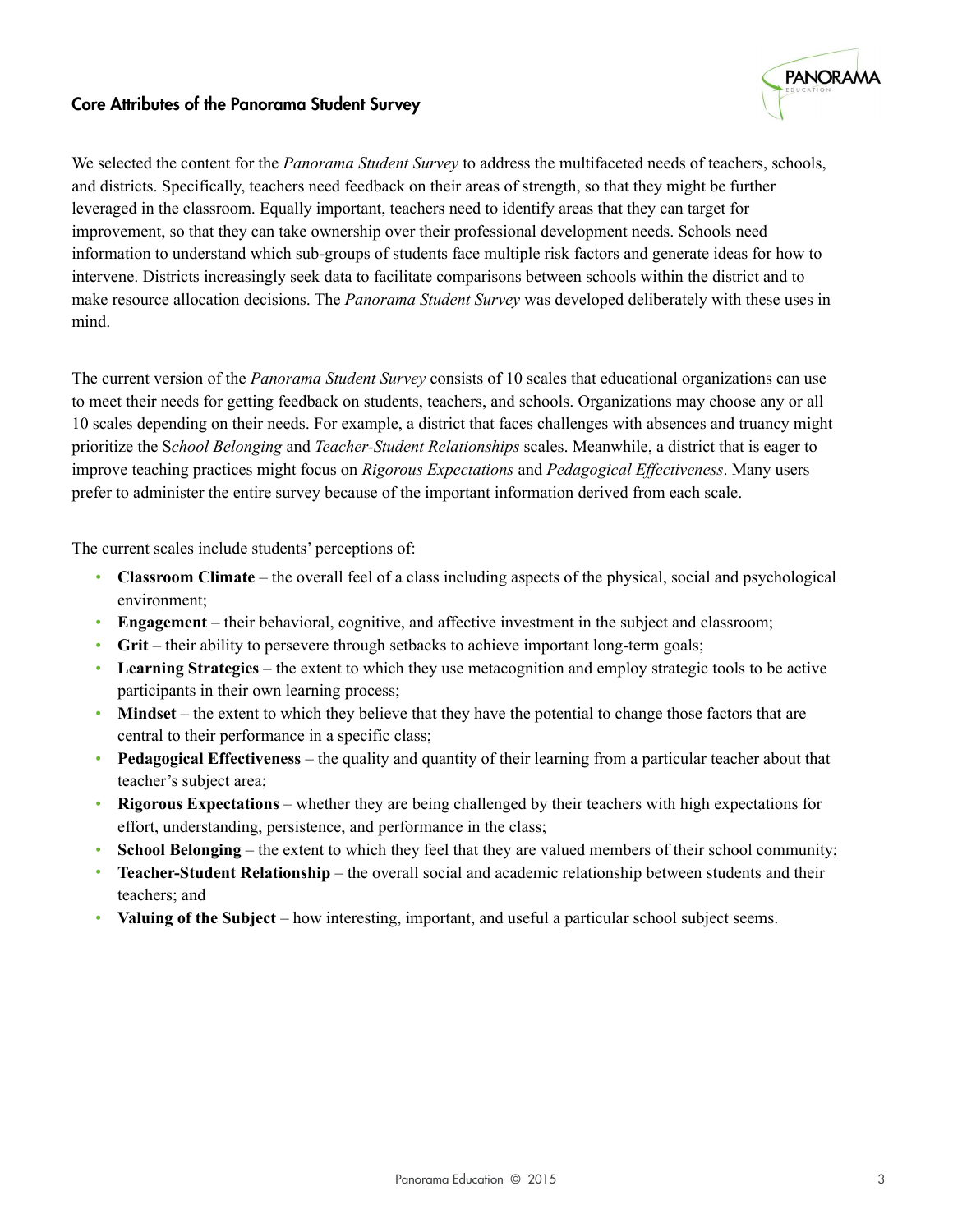#### Core Attributes of the Panorama Student Survey



We selected the content for the *Panorama Student Survey* to address the multifaceted needs of teachers, schools, and districts. Specifically, teachers need feedback on their areas of strength, so that they might be further leveraged in the classroom. Equally important, teachers need to identify areas that they can target for improvement, so that they can take ownership over their professional development needs. Schools need information to understand which sub-groups of students face multiple risk factors and generate ideas for how to intervene. Districts increasingly seek data to facilitate comparisons between schools within the district and to make resource allocation decisions. The *Panorama Student Survey* was developed deliberately with these uses in mind.

The current version of the *Panorama Student Survey* consists of 10 scales that educational organizations can use to meet their needs for getting feedback on students, teachers, and schools. Organizations may choose any or all 10 scales depending on their needs. For example, a district that faces challenges with absences and truancy might prioritize the S*chool Belonging* and *Teacher-Student Relationships* scales. Meanwhile, a district that is eager to improve teaching practices might focus on *Rigorous Expectations* and *Pedagogical Effectiveness*. Many users prefer to administer the entire survey because of the important information derived from each scale.

The current scales include students' perceptions of:

- **Classroom Climate** the overall feel of a class including aspects of the physical, social and psychological environment;
- **Engagement** their behavioral, cognitive, and affective investment in the subject and classroom;
- **Grit** their ability to persevere through setbacks to achieve important long-term goals;
- **Learning Strategies** the extent to which they use metacognition and employ strategic tools to be active participants in their own learning process;
- **Mindset** the extent to which they believe that they have the potential to change those factors that are central to their performance in a specific class;
- **Pedagogical Effectiveness**  the quality and quantity of their learning from a particular teacher about that teacher's subject area;
- **Rigorous Expectations** whether they are being challenged by their teachers with high expectations for effort, understanding, persistence, and performance in the class;
- **School Belonging** the extent to which they feel that they are valued members of their school community;
- **Teacher-Student Relationship** the overall social and academic relationship between students and their teachers; and
- **Valuing of the Subject**  how interesting, important, and useful a particular school subject seems.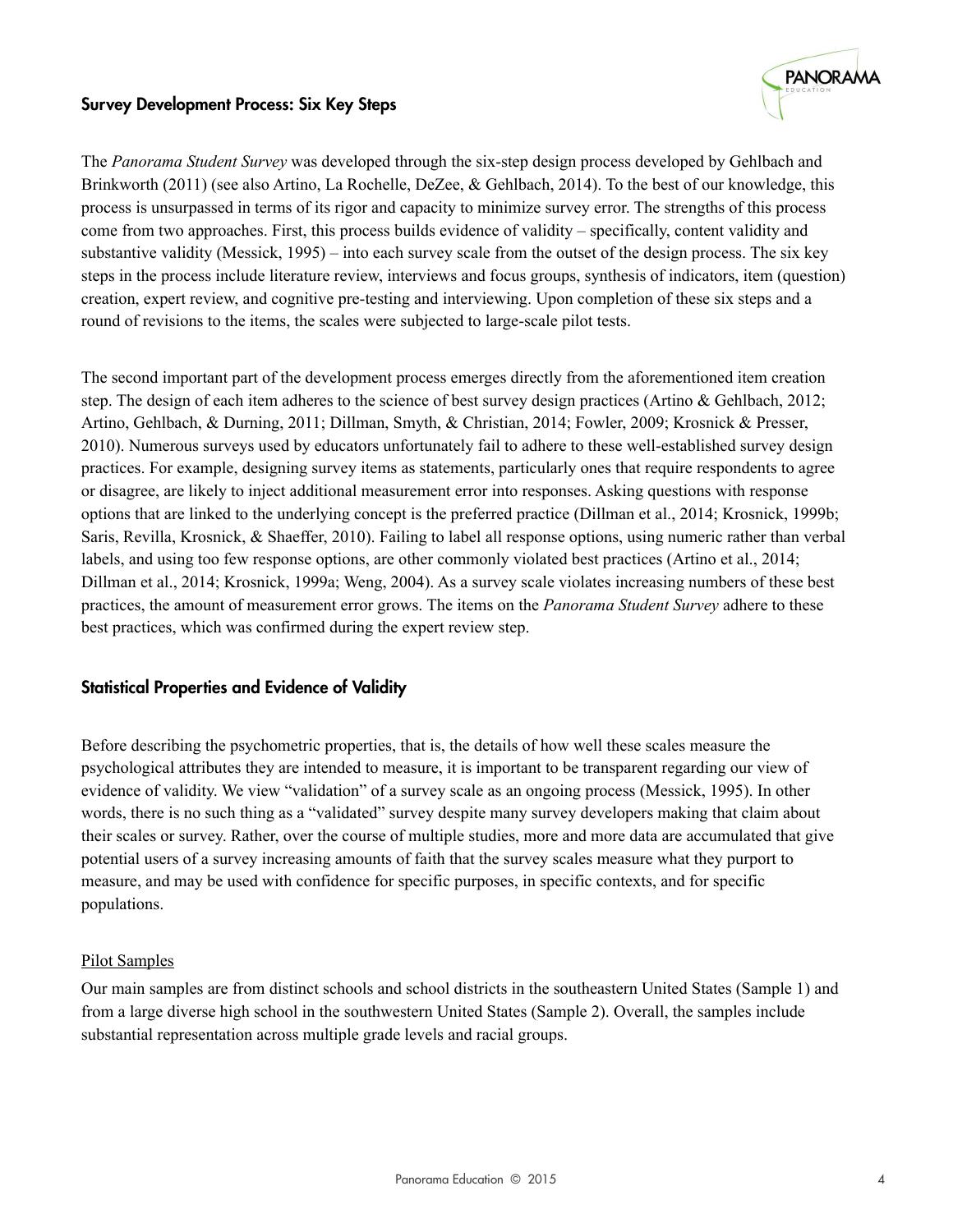#### Survey Development Process: Six Key Steps



The *Panorama Student Survey* was developed through the six-step design process developed by Gehlbach and Brinkworth (2011) (see also Artino, La Rochelle, DeZee, & Gehlbach, 2014). To the best of our knowledge, this process is unsurpassed in terms of its rigor and capacity to minimize survey error. The strengths of this process come from two approaches. First, this process builds evidence of validity – specifically, content validity and substantive validity (Messick, 1995) – into each survey scale from the outset of the design process. The six key steps in the process include literature review, interviews and focus groups, synthesis of indicators, item (question) creation, expert review, and cognitive pre-testing and interviewing. Upon completion of these six steps and a round of revisions to the items, the scales were subjected to large-scale pilot tests.

The second important part of the development process emerges directly from the aforementioned item creation step. The design of each item adheres to the science of best survey design practices (Artino & Gehlbach, 2012; Artino, Gehlbach, & Durning, 2011; Dillman, Smyth, & Christian, 2014; Fowler, 2009; Krosnick & Presser, 2010). Numerous surveys used by educators unfortunately fail to adhere to these well-established survey design practices. For example, designing survey items as statements, particularly ones that require respondents to agree or disagree, are likely to inject additional measurement error into responses. Asking questions with response options that are linked to the underlying concept is the preferred practice (Dillman et al., 2014; Krosnick, 1999b; Saris, Revilla, Krosnick, & Shaeffer, 2010). Failing to label all response options, using numeric rather than verbal labels, and using too few response options, are other commonly violated best practices (Artino et al., 2014; Dillman et al., 2014; Krosnick, 1999a; Weng, 2004). As a survey scale violates increasing numbers of these best practices, the amount of measurement error grows. The items on the *Panorama Student Survey* adhere to these best practices, which was confirmed during the expert review step.

#### Statistical Properties and Evidence of Validity

Before describing the psychometric properties, that is, the details of how well these scales measure the psychological attributes they are intended to measure, it is important to be transparent regarding our view of evidence of validity. We view "validation" of a survey scale as an ongoing process (Messick, 1995). In other words, there is no such thing as a "validated" survey despite many survey developers making that claim about their scales or survey. Rather, over the course of multiple studies, more and more data are accumulated that give potential users of a survey increasing amounts of faith that the survey scales measure what they purport to measure, and may be used with confidence for specific purposes, in specific contexts, and for specific populations.

#### Pilot Samples

Our main samples are from distinct schools and school districts in the southeastern United States (Sample 1) and from a large diverse high school in the southwestern United States (Sample 2). Overall, the samples include substantial representation across multiple grade levels and racial groups.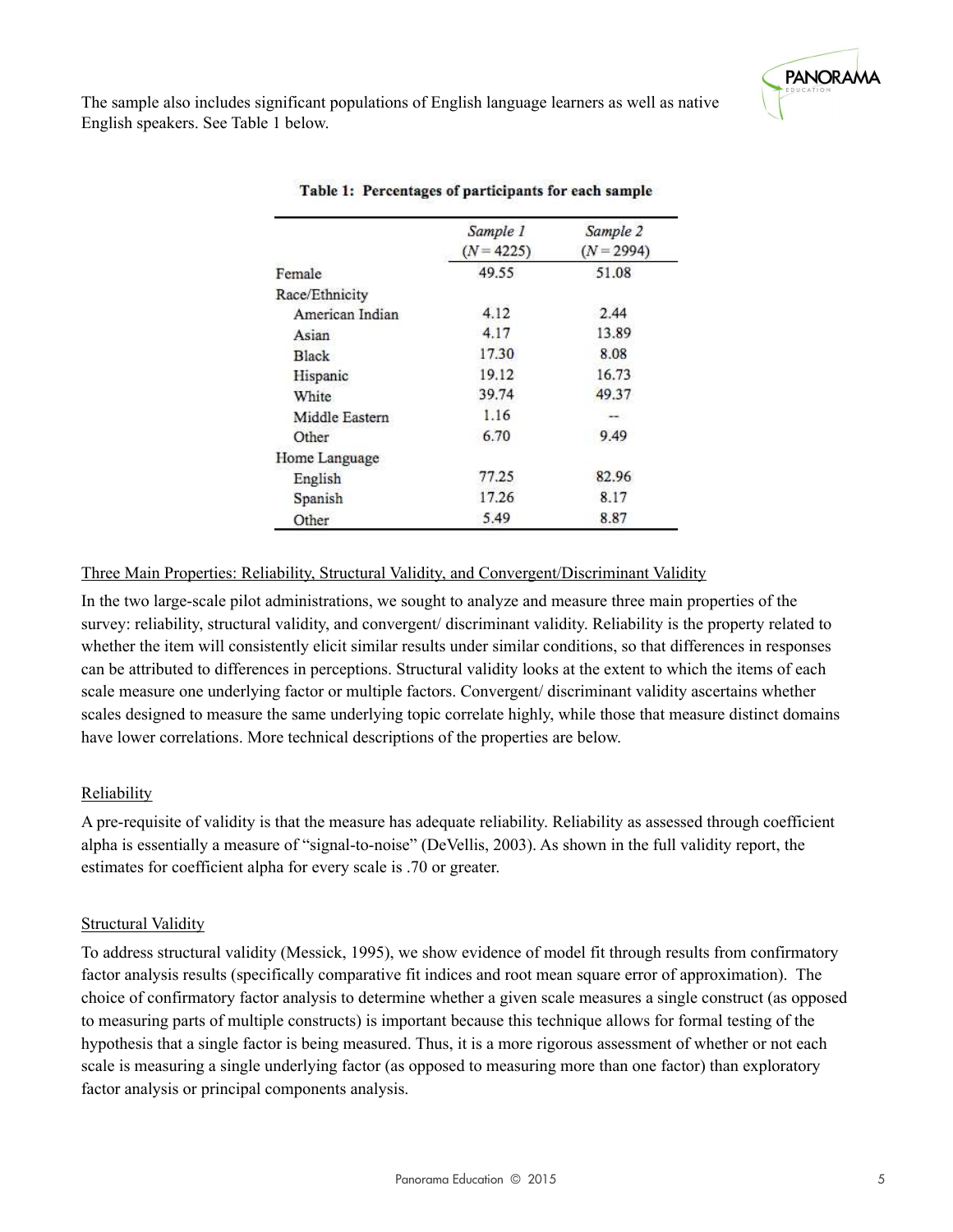

The sample also includes significant populations of English language learners as well as native English speakers. See Table 1 below.

|                 | Sample 1<br>$(N = 4225)$ | Sample 2<br>$(N = 2994)$ |  |  |  |  |  |
|-----------------|--------------------------|--------------------------|--|--|--|--|--|
| Female          | 49.55                    | 51.08                    |  |  |  |  |  |
| Race/Ethnicity  |                          |                          |  |  |  |  |  |
| American Indian | 4.12                     | 2.44                     |  |  |  |  |  |
| Asian           | 4.17                     | 13.89                    |  |  |  |  |  |
| Black           | 17.30                    | 8.08                     |  |  |  |  |  |
| Hispanic        | 19.12                    | 16.73                    |  |  |  |  |  |
| White           | 39.74                    | 49.37                    |  |  |  |  |  |
| Middle Eastern  | 1.16                     |                          |  |  |  |  |  |
| Other           | 6.70                     | 9.49                     |  |  |  |  |  |
| Home Language   |                          |                          |  |  |  |  |  |
| English         | 77.25                    | 82.96                    |  |  |  |  |  |
| Spanish         | 17.26                    | 8.17                     |  |  |  |  |  |
| Other           | 5.49                     | 8.87                     |  |  |  |  |  |

#### Table 1: Percentages of participants for each sample

#### Three Main Properties: Reliability, Structural Validity, and Convergent/Discriminant Validity

In the two large-scale pilot administrations, we sought to analyze and measure three main properties of the survey: reliability, structural validity, and convergent/ discriminant validity. Reliability is the property related to whether the item will consistently elicit similar results under similar conditions, so that differences in responses can be attributed to differences in perceptions. Structural validity looks at the extent to which the items of each scale measure one underlying factor or multiple factors. Convergent/ discriminant validity ascertains whether scales designed to measure the same underlying topic correlate highly, while those that measure distinct domains have lower correlations. More technical descriptions of the properties are below.

#### Reliability

A pre-requisite of validity is that the measure has adequate reliability. Reliability as assessed through coefficient alpha is essentially a measure of "signal-to-noise" (DeVellis, 2003). As shown in the full validity report, the estimates for coefficient alpha for every scale is .70 or greater.

#### Structural Validity

To address structural validity (Messick, 1995), we show evidence of model fit through results from confirmatory factor analysis results (specifically comparative fit indices and root mean square error of approximation). The choice of confirmatory factor analysis to determine whether a given scale measures a single construct (as opposed to measuring parts of multiple constructs) is important because this technique allows for formal testing of the hypothesis that a single factor is being measured. Thus, it is a more rigorous assessment of whether or not each scale is measuring a single underlying factor (as opposed to measuring more than one factor) than exploratory factor analysis or principal components analysis.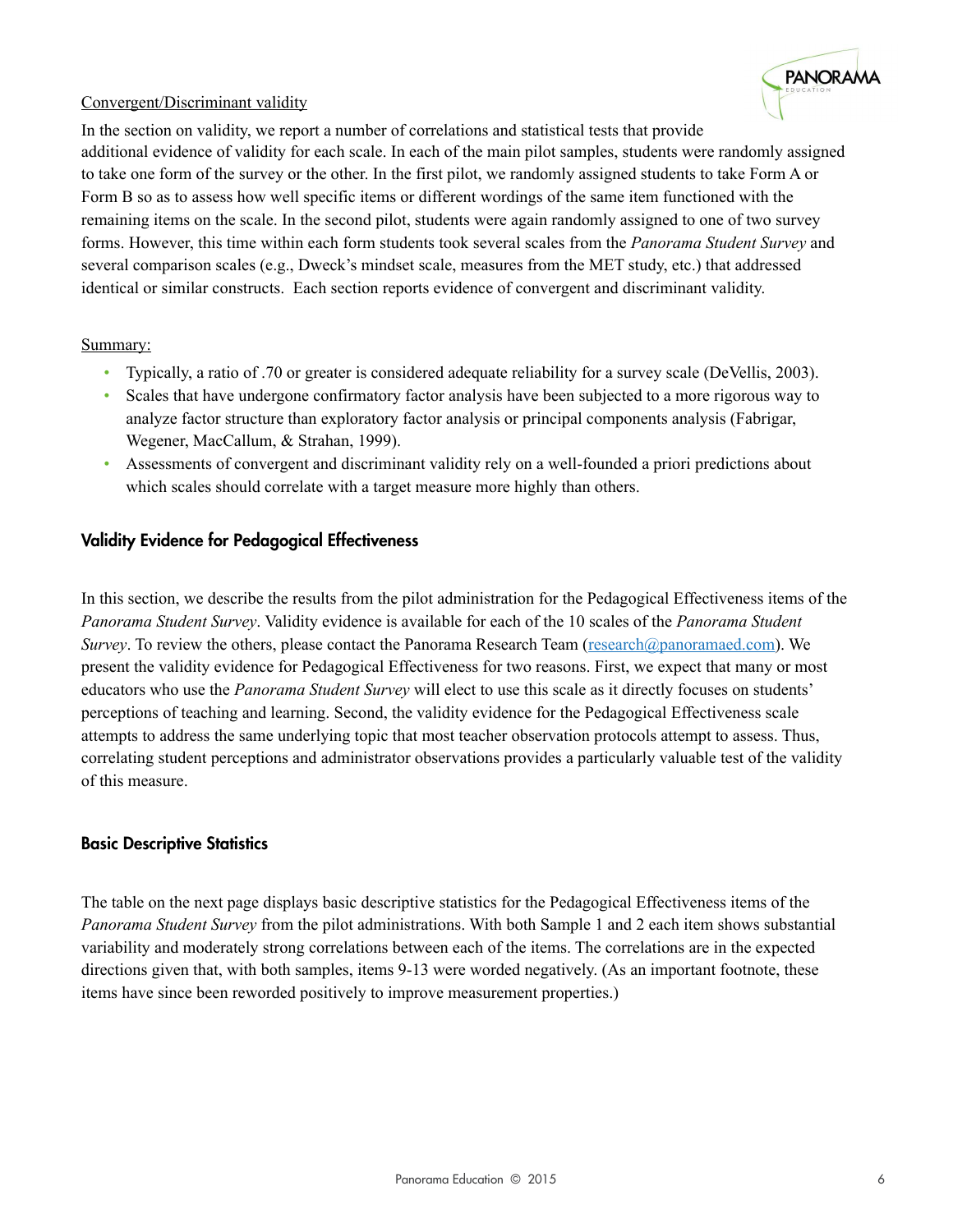

#### Convergent/Discriminant validity

In the section on validity, we report a number of correlations and statistical tests that provide additional evidence of validity for each scale. In each of the main pilot samples, students were randomly assigned to take one form of the survey or the other. In the first pilot, we randomly assigned students to take Form A or Form B so as to assess how well specific items or different wordings of the same item functioned with the remaining items on the scale. In the second pilot, students were again randomly assigned to one of two survey forms. However, this time within each form students took several scales from the *Panorama Student Survey* and several comparison scales (e.g., Dweck's mindset scale, measures from the MET study, etc.) that addressed identical or similar constructs. Each section reports evidence of convergent and discriminant validity.

#### Summary:

- Typically, a ratio of .70 or greater is considered adequate reliability for a survey scale (DeVellis, 2003).
- Scales that have undergone confirmatory factor analysis have been subjected to a more rigorous way to analyze factor structure than exploratory factor analysis or principal components analysis (Fabrigar, Wegener, MacCallum, & Strahan, 1999).
- Assessments of convergent and discriminant validity rely on a well-founded a priori predictions about which scales should correlate with a target measure more highly than others.

#### Validity Evidence for Pedagogical Effectiveness

In this section, we describe the results from the pilot administration for the Pedagogical Effectiveness items of the *Panorama Student Survey*. Validity evidence is available for each of the 10 scales of the *Panorama Student Survey*. To review the others, please contact the Panorama Research Team (research@panoramaed.com). We present the validity evidence for Pedagogical Effectiveness for two reasons. First, we expect that many or most educators who use the *Panorama Student Survey* will elect to use this scale as it directly focuses on students' perceptions of teaching and learning. Second, the validity evidence for the Pedagogical Effectiveness scale attempts to address the same underlying topic that most teacher observation protocols attempt to assess. Thus, correlating student perceptions and administrator observations provides a particularly valuable test of the validity of this measure.

#### Basic Descriptive Statistics

The table on the next page displays basic descriptive statistics for the Pedagogical Effectiveness items of the *Panorama Student Survey* from the pilot administrations. With both Sample 1 and 2 each item shows substantial variability and moderately strong correlations between each of the items. The correlations are in the expected directions given that, with both samples, items 9-13 were worded negatively. (As an important footnote, these items have since been reworded positively to improve measurement properties.)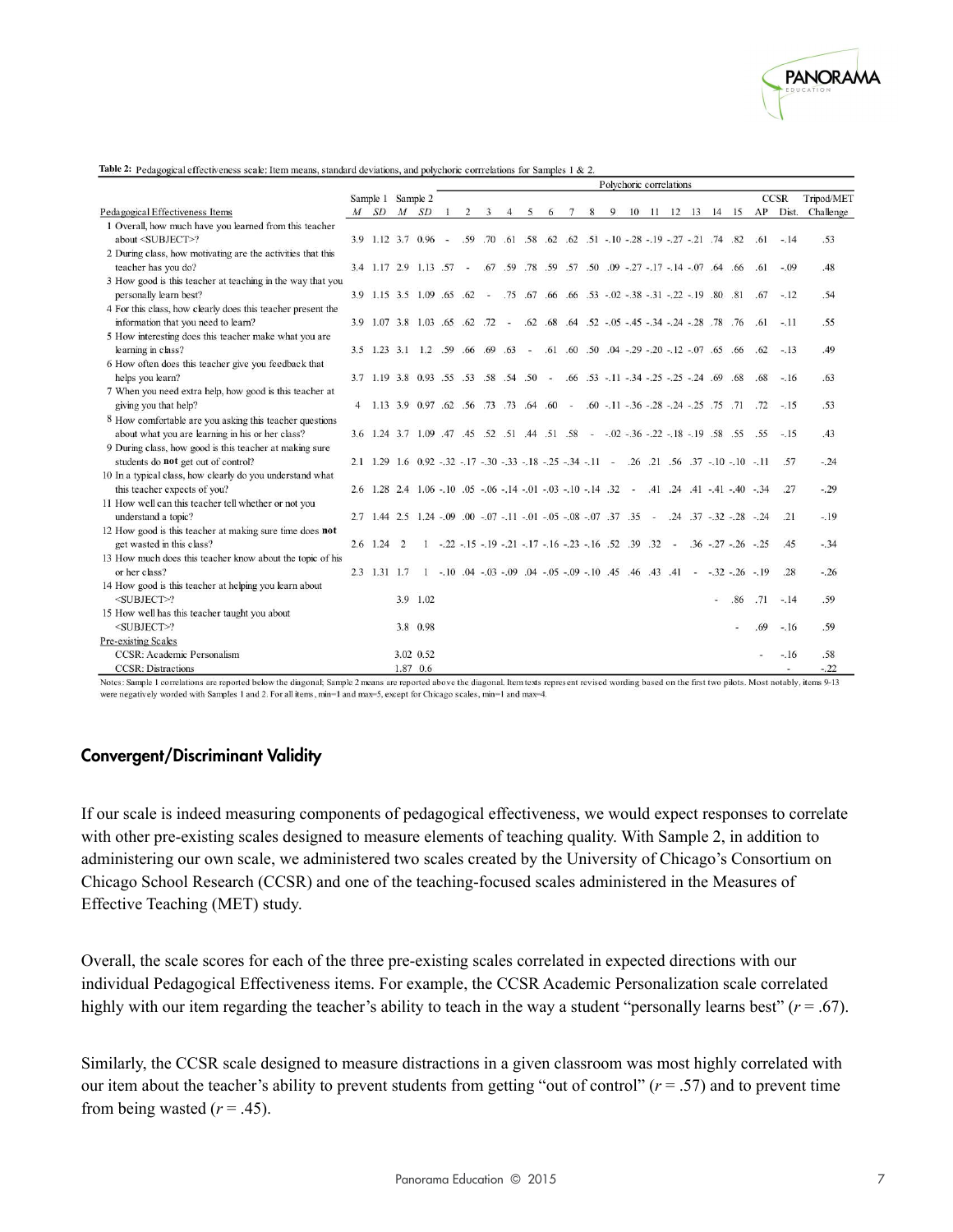

Table 2: Pedagogical effectiveness scale: Item means, standard deviations, and polychoric corrrelations for Samples 1 & 2.

|                                                             | Polychoric correlations |                                                                                  |  |           |  |                |                         |                |   |   |                                                                           |   |   |  |  |  |                   |  |                                                                                               |                                                                                                                      |            |            |
|-------------------------------------------------------------|-------------------------|----------------------------------------------------------------------------------|--|-----------|--|----------------|-------------------------|----------------|---|---|---------------------------------------------------------------------------|---|---|--|--|--|-------------------|--|-----------------------------------------------------------------------------------------------|----------------------------------------------------------------------------------------------------------------------|------------|------------|
|                                                             |                         | Sample 1 Sample 2                                                                |  |           |  |                |                         |                |   |   |                                                                           |   |   |  |  |  |                   |  |                                                                                               | <b>CCSR</b>                                                                                                          |            | Tripod/MET |
| Pedagogical Effectiveness Items                             |                         | M SD M SD                                                                        |  |           |  | $\overline{2}$ | $\overline{\mathbf{3}}$ | $\overline{4}$ | 5 | 6 | $7^{\circ}$                                                               | 8 | 9 |  |  |  | 10 11 12 13 14 15 |  |                                                                                               |                                                                                                                      | AP Dist.   | Challenge  |
| 1 Overall, how much have you learned from this teacher      |                         |                                                                                  |  |           |  |                |                         |                |   |   |                                                                           |   |   |  |  |  |                   |  |                                                                                               |                                                                                                                      |            |            |
| about <subject>?</subject>                                  |                         |                                                                                  |  |           |  |                |                         |                |   |   |                                                                           |   |   |  |  |  |                   |  |                                                                                               | 3.9 1.12 3.7 0.96 - .59 .70 .61 .58 .62 .62 .51 -10 -28 -19 -27 -21 .74 .82 .61 -14                                  |            | .53        |
| 2 During class, how motivating are the activities that this |                         |                                                                                  |  |           |  |                |                         |                |   |   |                                                                           |   |   |  |  |  |                   |  |                                                                                               |                                                                                                                      |            |            |
| teacher has you do?                                         |                         | 3.4 1.17 2.9 1.13 57 - 67 59 59 57 59 57 50 09 - 27 - 17 - 14 - 07 64 66         |  |           |  |                |                         |                |   |   |                                                                           |   |   |  |  |  |                   |  |                                                                                               | .61                                                                                                                  | $-.09$     | .48        |
| 3 How good is this teacher at teaching in the way that you  |                         |                                                                                  |  |           |  |                |                         |                |   |   |                                                                           |   |   |  |  |  |                   |  |                                                                                               |                                                                                                                      |            |            |
| personally learn best?                                      |                         |                                                                                  |  |           |  |                |                         |                |   |   |                                                                           |   |   |  |  |  |                   |  |                                                                                               | 3.9 1.15 3.5 1.09 .65 -.31 -.32 -.38 -.31 -.22 -.39 -.31 -.22 -.19 .80 .81 .67 -.12                                  |            | .54        |
| 4 For this class, how clearly does this teacher present the |                         |                                                                                  |  |           |  |                |                         |                |   |   |                                                                           |   |   |  |  |  |                   |  |                                                                                               |                                                                                                                      |            |            |
| information that you need to learn?                         |                         |                                                                                  |  |           |  |                |                         |                |   |   |                                                                           |   |   |  |  |  |                   |  |                                                                                               | 11. - 61. 61. 78. 78. 78. - 42. - 45. - 45. - 45. - 62. 68. 64. - - - 72. - 62. 65. 69. 103. 103. 10                 |            | .55        |
| 5 How interesting does this teacher make what you are       |                         |                                                                                  |  |           |  |                |                         |                |   |   |                                                                           |   |   |  |  |  |                   |  |                                                                                               |                                                                                                                      |            |            |
| learning in class?                                          |                         |                                                                                  |  |           |  |                |                         |                |   |   |                                                                           |   |   |  |  |  |                   |  |                                                                                               | 3.5 .66 .62 .13 .65 .67 .07 .20 .12 -.07 .65 .69 .69 .69 .69 .69 .69 .69 .69 .12 .13                                 |            | .49        |
| 6 How often does this teacher give you feedback that        |                         |                                                                                  |  |           |  |                |                         |                |   |   |                                                                           |   |   |  |  |  |                   |  |                                                                                               |                                                                                                                      |            |            |
| helps you learn?                                            |                         | 3.7 1.19 3.8 0.93 .55 .53 .58 .54 .50 - .66 .53 -.11 -.34 -.25 -.25 -.24 .69 .68 |  |           |  |                |                         |                |   |   |                                                                           |   |   |  |  |  |                   |  |                                                                                               |                                                                                                                      | $.68 - 16$ | .63        |
| 7 When you need extra help, how good is this teacher at     |                         |                                                                                  |  |           |  |                |                         |                |   |   |                                                                           |   |   |  |  |  |                   |  |                                                                                               |                                                                                                                      |            |            |
| giving you that help?                                       |                         |                                                                                  |  |           |  |                |                         |                |   |   |                                                                           |   |   |  |  |  |                   |  |                                                                                               | 4 1.13 3.9 0.97 .62 .55 .73 .64 .60 - .60 - .11 - .36 - .28 - .24 - .25 .75 .71 .72 - .15                            |            | .53        |
| 8 How comfortable are you asking this teacher questions     |                         |                                                                                  |  |           |  |                |                         |                |   |   |                                                                           |   |   |  |  |  |                   |  |                                                                                               |                                                                                                                      |            |            |
| about what you are learning in his or her class?            |                         |                                                                                  |  |           |  |                |                         |                |   |   |                                                                           |   |   |  |  |  |                   |  |                                                                                               | 3.6 1.24 3.7 1.09 47 45 52 51 44 51 58 - -02 -36 -22 -18 -19 58 55 55 -15                                            |            | .43        |
| 9 During class, how good is this teacher at making sure     |                         |                                                                                  |  |           |  |                |                         |                |   |   |                                                                           |   |   |  |  |  |                   |  |                                                                                               |                                                                                                                      |            |            |
| students do <b>not</b> get out of control?                  |                         |                                                                                  |  |           |  |                |                         |                |   |   |                                                                           |   |   |  |  |  |                   |  |                                                                                               | $2.1$ $1.29$ $1.6$ $0.92$ $-32$ $-17$ $-30$ $-33$ $-18$ $-25$ $-34$ $-11$ $ -26$ $-21$ $-56$ $-37$ $-10$ $-10$ $-11$ | .57        | $-.24$     |
| 10 In a typical class, how clearly do you understand what   |                         |                                                                                  |  |           |  |                |                         |                |   |   |                                                                           |   |   |  |  |  |                   |  |                                                                                               |                                                                                                                      |            |            |
| this teacher expects of you?                                |                         |                                                                                  |  |           |  |                |                         |                |   |   |                                                                           |   |   |  |  |  |                   |  |                                                                                               | 2.6 1.28 2.4 1.06 - 10 .05 - 06 - 14 - 01 - 03 - 10 - 14 .32 - .41 .24 .41 - 41 - 40 - 34                            | .27        | $-.29$     |
| 11 How well can this teacher tell whether or not you        |                         |                                                                                  |  |           |  |                |                         |                |   |   |                                                                           |   |   |  |  |  |                   |  |                                                                                               |                                                                                                                      |            |            |
| understand a topic?                                         |                         |                                                                                  |  |           |  |                |                         |                |   |   |                                                                           |   |   |  |  |  |                   |  |                                                                                               | 2.7 1.44 2.5 1.24 -.09 .00 -.07 -.11 -.01 -.05 -.08 -.07 .37 .35 - .24 .37 -.32 -.28 -.24                            | .21        | $-.19$     |
| 12 How good is this teacher at making sure time does not    |                         |                                                                                  |  |           |  |                |                         |                |   |   |                                                                           |   |   |  |  |  |                   |  |                                                                                               |                                                                                                                      |            |            |
| get wasted in this class?                                   |                         | $2.6$ 1.24 2                                                                     |  |           |  |                |                         |                |   |   | $1 - .22 - .15 - .19 - .21 - .17 - .16 - .23 - .16 - .52 - .39 - .32 - .$ |   |   |  |  |  |                   |  |                                                                                               | $.36 - .27 - .26 - .25$                                                                                              | .45        | $-.34$     |
| 13 How much does this teacher know about the topic of his   |                         |                                                                                  |  |           |  |                |                         |                |   |   |                                                                           |   |   |  |  |  |                   |  |                                                                                               |                                                                                                                      |            |            |
| or her class?                                               |                         | 2.3 1.31 1.7                                                                     |  |           |  |                |                         |                |   |   |                                                                           |   |   |  |  |  |                   |  | $1 - .10$ $.04 - .03 - .09$ $.04 - .05 - .09 - .10$ $.45$ $.46$ $.43$ $.41 - .32 - .26 - .19$ |                                                                                                                      | .28        | $-.26$     |
| 14 How good is this teacher at helping you learn about      |                         |                                                                                  |  |           |  |                |                         |                |   |   |                                                                           |   |   |  |  |  |                   |  |                                                                                               |                                                                                                                      |            |            |
| $<$ SUBJECT $>$ ?                                           |                         |                                                                                  |  | 3.9 1.02  |  |                |                         |                |   |   |                                                                           |   |   |  |  |  |                   |  | .86                                                                                           | $.71 - .14$                                                                                                          |            | .59        |
| 15 How well has this teacher taught you about               |                         |                                                                                  |  |           |  |                |                         |                |   |   |                                                                           |   |   |  |  |  |                   |  |                                                                                               |                                                                                                                      |            |            |
| <subject>?</subject>                                        |                         |                                                                                  |  | 3.8 0.98  |  |                |                         |                |   |   |                                                                           |   |   |  |  |  |                   |  |                                                                                               | .69                                                                                                                  | $-.16$     | .59        |
| <b>Pre-existing Scales</b>                                  |                         |                                                                                  |  |           |  |                |                         |                |   |   |                                                                           |   |   |  |  |  |                   |  |                                                                                               |                                                                                                                      |            |            |
| CCSR: Academic Personalism                                  |                         |                                                                                  |  | 3.02 0.52 |  |                |                         |                |   |   |                                                                           |   |   |  |  |  |                   |  |                                                                                               |                                                                                                                      | $-16$      | .58        |
| <b>CCSR: Distractions</b>                                   |                         |                                                                                  |  | 1.87 0.6  |  |                |                         |                |   |   |                                                                           |   |   |  |  |  |                   |  |                                                                                               |                                                                                                                      |            | $-.22$     |

Notes: Sample 1 correlations are reported below the diagonal; Sample 2 means are reported above the diagonal. Item texts represent revised wording based on the first two pilots. Most notably, items 9-13 were negatively worded with Samples 1 and 2. For all items, min=1 and max=5, except for Chicago scales, min=1 and max=4.

#### Convergent/Discriminant Validity

If our scale is indeed measuring components of pedagogical effectiveness, we would expect responses to correlate with other pre-existing scales designed to measure elements of teaching quality. With Sample 2, in addition to administering our own scale, we administered two scales created by the University of Chicago's Consortium on Chicago School Research (CCSR) and one of the teaching-focused scales administered in the Measures of Effective Teaching (MET) study.

Overall, the scale scores for each of the three pre-existing scales correlated in expected directions with our individual Pedagogical Effectiveness items. For example, the CCSR Academic Personalization scale correlated highly with our item regarding the teacher's ability to teach in the way a student "personally learns best"  $(r = .67)$ .

Similarly, the CCSR scale designed to measure distractions in a given classroom was most highly correlated with our item about the teacher's ability to prevent students from getting "out of control" (*r* = .57) and to prevent time from being wasted  $(r = .45)$ .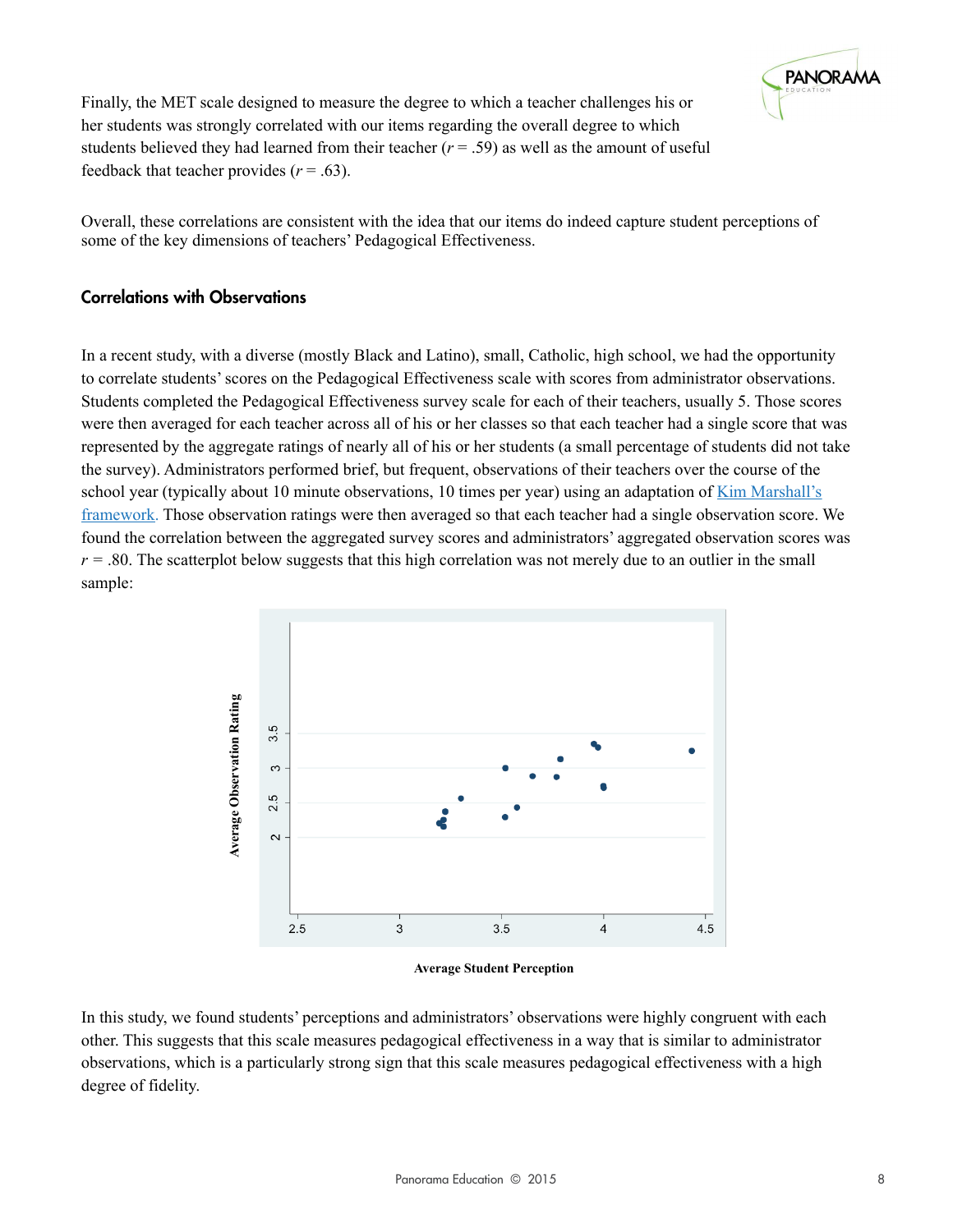

Finally, the MET scale designed to measure the degree to which a teacher challenges his or her students was strongly correlated with our items regarding the overall degree to which students believed they had learned from their teacher  $(r = .59)$  as well as the amount of useful feedback that teacher provides  $(r = .63)$ .

Overall, these correlations are consistent with the idea that our items do indeed capture student perceptions of some of the key dimensions of teachers' Pedagogical Effectiveness.

#### Correlations with Observations

In a recent study, with a diverse (mostly Black and Latino), small, Catholic, high school, we had the opportunity to correlate students' scores on the Pedagogical Effectiveness scale with scores from administrator observations. Students completed the Pedagogical Effectiveness survey scale for each of their teachers, usually 5. Those scores were then averaged for each teacher across all of his or her classes so that each teacher had a single score that was represented by the aggregate ratings of nearly all of his or her students (a small percentage of students did not take the survey). Administrators performed brief, but frequent, observations of their teachers over the course of the school year (typically about 10 minute observations, 10 times per year) using an adaptation of Kim Marshall's [framework. Those observation ratings were then averaged so that each teacher had a single observation score. W](http://www.marshallmemo.com/articles/Marshall%20Teacher%20Eval%20Rubrics%20Aug.%2031,%2011.pdf)e found the correlation between the aggregated survey scores and administrators' aggregated observation scores was *r =* .80. The scatterplot below suggests that this high correlation was not merely due to an outlier in the small sample:



**Average Student Perception**

In this study, we found students' perceptions and administrators' observations were highly congruent with each other. This suggests that this scale measures pedagogical effectiveness in a way that is similar to administrator observations, which is a particularly strong sign that this scale measures pedagogical effectiveness with a high degree of fidelity.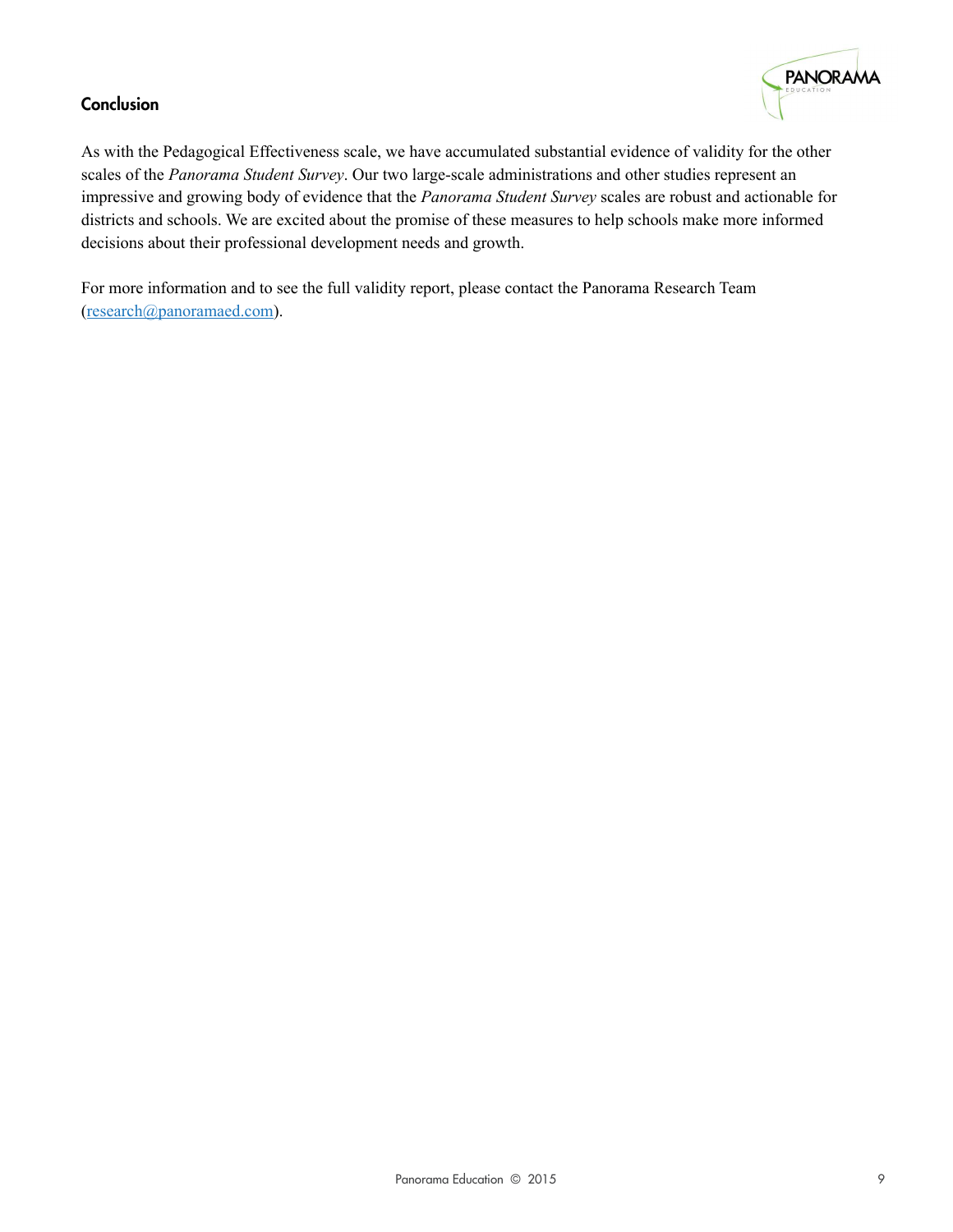# **PANORAMA**

#### **Conclusion**

As with the Pedagogical Effectiveness scale, we have accumulated substantial evidence of validity for the other scales of the *Panorama Student Survey*. Our two large-scale administrations and other studies represent an impressive and growing body of evidence that the *Panorama Student Survey* scales are robust and actionable for districts and schools. We are excited about the promise of these measures to help schools make more informed decisions about their professional development needs and growth.

For more information and to see the full validity report, please contact the Panorama Research Team ([research@panoramaed.com\)](mailto:research@panoramaed.com%22%20%5Ct%20%22_blank?subject=).